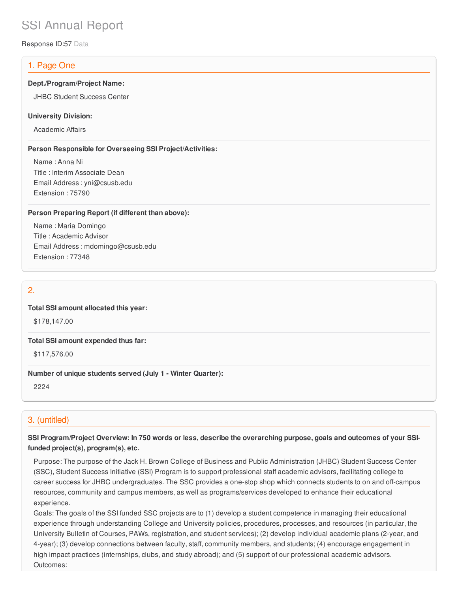# SSI Annual Report

Response ID:57 Data

# 1. Page One

#### **Dept./Program/Project Name:**

JHBC Student Success Center

#### **University Division:**

Academic Affairs

#### **Person Responsible for Overseeing SSI Project/Activities:**

Name : Anna Ni Title : Interim Associate Dean Email Address : yni@csusb.edu Extension : 75790

#### **Person Preparing Report (if different than above):**

Name : Maria Domingo Title : Academic Advisor Email Address : mdomingo@csusb.edu Extension : 77348

## 2.

#### **Total SSI amount allocated this year:**

\$178,147.00

#### **Total SSI amount expended thus far:**

\$117,576.00

#### **Number of unique students served (July 1 - Winter Quarter):**

2224

# 3. (untitled)

## SSI Program/Project Overview: In 750 words or less, describe the overarching purpose, goals and outcomes of your SSI**funded project(s), program(s), etc.**

Purpose: The purpose of the Jack H. Brown College of Business and Public Administration (JHBC) Student Success Center (SSC), Student Success Initiative (SSI) Program is to support professional staff academic advisors, facilitating college to career success for JHBC undergraduates. The SSC provides a one-stop shop which connects students to on and off-campus resources, community and campus members, as well as programs/services developed to enhance their educational experience.

Goals: The goals of the SSI funded SSC projects are to (1) develop a student competence in managing their educational experience through understanding College and University policies, procedures, processes, and resources (in particular, the University Bulletin of Courses, PAWs, registration, and student services); (2) develop individual academic plans (2-year, and 4-year); (3) develop connections between faculty, staff, community members, and students; (4) encourage engagement in high impact practices (internships, clubs, and study abroad); and (5) support of our professional academic advisors. Outcomes: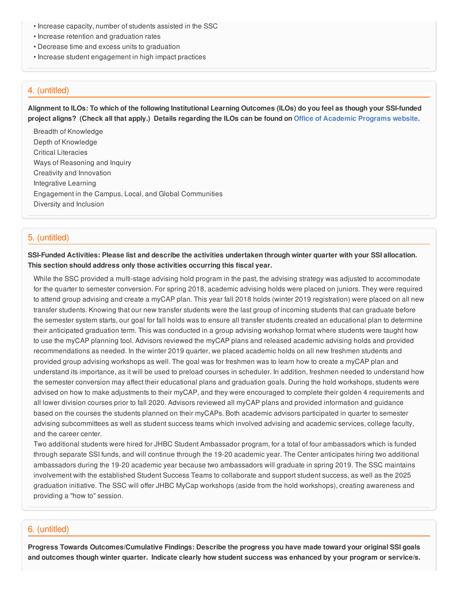- Increase capacity, number of students assisted in the SSC
- Increase retention and graduation rates
- Decrease time and excess units to graduation
- Increase student engagement in high impact practices

## 4. (untitled)

Alignment to ILOs: To which of the following Institutional Learning Outcomes (ILOs) do you feel as though your SSI-funded project aligns? (Check all that apply.) Details regarding the ILOs can be found on Office of [Academic](https://www.csusb.edu/sites/csusb/files/CSUSB_Institutional_Learning_Outcomes-Endorsed.pdf) Programs website.

Breadth of Knowledge Depth of Knowledge Critical Literacies Ways of Reasoning and Inquiry Creativity and Innovation Integrative Learning Engagement in the Campus, Local, and Global Communities Diversity and Inclusion

# 5. (untitled)

SSI-Funded Activities: Please list and describe the activities undertaken through winter quarter with your SSI allocation. **This section should address only those activities occurring this fiscal year.**

While the SSC provided a multi-stage advising hold program in the past, the advising strategy was adjusted to accommodate for the quarter to semester conversion. For spring 2018, academic advising holds were placed on juniors. They were required to attend group advising and create a myCAP plan. This year fall 2018 holds (winter 2019 registration) were placed on all new transfer students. Knowing that our new transfer students were the last group of incoming students that can graduate before the semester system starts, our goal for fall holds was to ensure all transfer students created an educational plan to determine their anticipated graduation term. This was conducted in a group advising workshop format where students were taught how to use the myCAP planning tool. Advisors reviewed the myCAP plans and released academic advising holds and provided recommendations as needed. In the winter 2019 quarter, we placed academic holds on all new freshmen students and provided group advising workshops as well. The goal was for freshmen was to learn how to create a myCAP plan and understand its importance, as it will be used to preload courses in scheduler. In addition, freshmen needed to understand how the semester conversion may affect their educational plans and graduation goals. During the hold workshops, students were advised on how to make adjustments to their myCAP, and they were encouraged to complete their golden 4 requirements and all lower division courses prior to fall 2020. Advisors reviewed all myCAP plans and provided information and guidance based on the courses the students planned on their myCAPs. Both academic advisors participated in quarter to semester advising subcommittees as well as student success teams which involved advising and academic services, college faculty, and the career center.

Two additional students were hired for JHBC Student Ambassador program, for a total of four ambassadors which is funded through separate SSI funds, and will continue through the 19-20 academic year. The Center anticipates hiring two additional ambassadors during the 19-20 academic year because two ambassadors will graduate in spring 2019. The SSC maintains involvement with the established Student Success Teams to collaborate and support student success, as well as the 2025 graduation initiative. The SSC will offer JHBC MyCap workshops (aside from the hold workshops), creating awareness and providing a "how to" session.

# 6. (untitled)

**Progress Towards Outcomes/Cumulative Findings: Describe the progress you have made toward your original SSI goals** and outcomes though winter quarter. Indicate clearly how student success was enhanced by your program or service/s.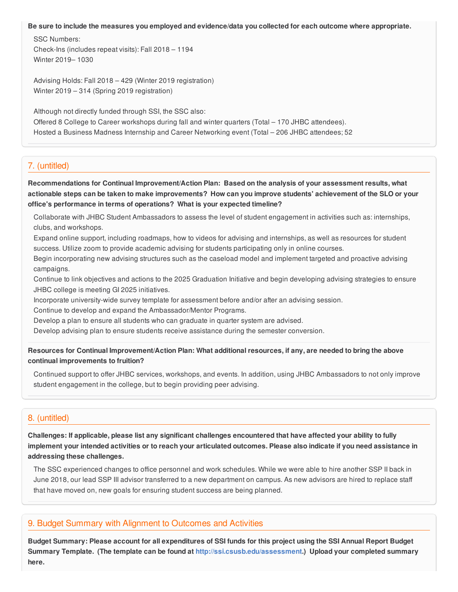#### Be sure to include the measures you employed and evidence/data you collected for each outcome where appropriate.

SSC Numbers: Check-Ins (includes repeat visits): Fall 2018 – 1194 Winter 2019– 1030

Advising Holds: Fall 2018 – 429 (Winter 2019 registration) Winter 2019 – 314 (Spring 2019 registration)

Although not directly funded through SSI, the SSC also:

Offered 8 College to Career workshops during fall and winter quarters (Total – 170 JHBC attendees). Hosted a Business Madness Internship and Career Networking event (Total – 206 JHBC attendees; 52

## 7. (untitled)

**Recommendations for Continual Improvement/Action Plan: Based on the analysis of your assessment results, what** actionable steps can be taken to make improvements? How can you improve students' achievement of the SLO or your **office's performance in terms of operations? What is your expected timeline?**

Collaborate with JHBC Student Ambassadors to assess the level of student engagement in activities such as: internships, clubs, and workshops.

Expand online support, including roadmaps, how to videos for advising and internships, as well as resources for student success. Utilize zoom to provide academic advising for students participating only in online courses.

Begin incorporating new advising structures such as the caseload model and implement targeted and proactive advising campaigns.

Continue to link objectives and actions to the 2025 Graduation Initiative and begin developing advising strategies to ensure JHBC college is meeting GI 2025 initiatives.

Incorporate university-wide survey template for assessment before and/or after an advising session.

Continue to develop and expand the Ambassador/Mentor Programs.

Develop a plan to ensure all students who can graduate in quarter system are advised.

Develop advising plan to ensure students receive assistance during the semester conversion.

Resources for Continual Improvement/Action Plan: What additional resources, if any, are needed to bring the above **continual improvements to fruition?**

Continued support to offer JHBC services, workshops, and events. In addition, using JHBC Ambassadors to not only improve student engagement in the college, but to begin providing peer advising.

# 8. (untitled)

Challenges: If applicable, please list any significant challenges encountered that have affected your ability to fully implement your intended activities or to reach your articulated outcomes. Please also indicate if you need assistance in **addressing these challenges.**

The SSC experienced changes to office personnel and work schedules. While we were able to hire another SSP II back in June 2018, our lead SSP III advisor transferred to a new department on campus. As new advisors are hired to replace staff that have moved on, new goals for ensuring student success are being planned.

#### 9. Budget Summary with Alignment to Outcomes and Activities

Budget Summary: Please account for all expenditures of SSI funds for this project using the SSI Annual Report Budget **Summary Template. (The template can be found at <http://ssi.csusb.edu/assessment>.) Upload your completed summary here.**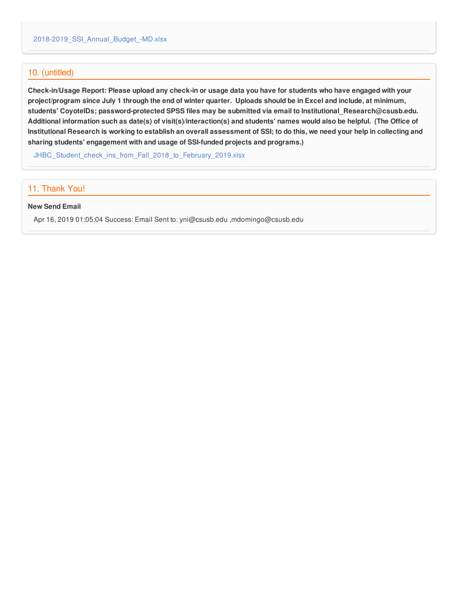### 10. (untitled)

Check-in/Usage Report: Please upload any check-in or usage data you have for students who have engaged with your project/program since July 1 through the end of winter quarter. Uploads should be in Excel and include, at minimum, **students' CoyoteIDs; password-protected SPSS files may be submitted via email to Institutional\_Research@csusb.edu.** Additional information such as date(s) of visit(s)/interaction(s) and students' names would also be helpful. (The Office of Institutional Research is working to establish an overall assessment of SSI; to do this, we need your help in collecting and **sharing students' engagement with and usage of SSI-funded projects and programs.)**

JHBC Student check ins from Fall 2018 to February 2019.xlsx

## 11. Thank You!

#### **New Send Email**

Apr 16, 2019 01:05:04 Success: Email Sent to: yni@csusb.edu ,mdomingo@csusb.edu